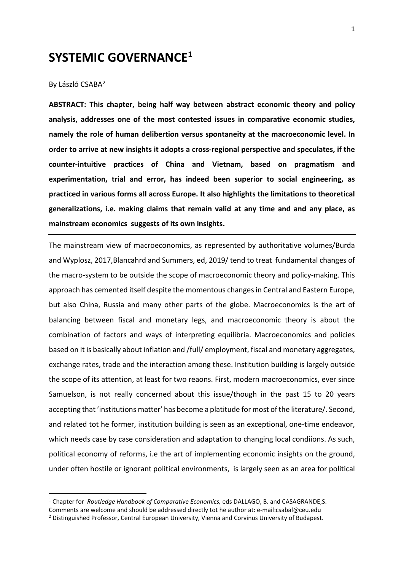# **SYSTEMIC GOVERNANCE[1](#page-0-0)**

#### By László CSABA<sup>[2](#page-0-1)</sup>

**ABSTRACT: This chapter, being half way between abstract economic theory and policy analysis, addresses one of the most contested issues in comparative economic studies, namely the role of human delibertion versus spontaneity at the macroeconomic level. In order to arrive at new insights it adopts a cross-regional perspective and speculates, if the counter-intuitive practices of China and Vietnam, based on pragmatism and experimentation, trial and error, has indeed been superior to social engineering, as practiced in various forms all across Europe. It also highlights the limitations to theoretical generalizations, i.e. making claims that remain valid at any time and and any place, as mainstream economics suggests of its own insights.**

The mainstream view of macroeconomics, as represented by authoritative volumes/Burda and Wyplosz, 2017,Blancahrd and Summers, ed, 2019/ tend to treat fundamental changes of the macro-system to be outside the scope of macroeconomic theory and policy-making. This approach has cemented itself despite the momentous changes in Central and Eastern Europe, but also China, Russia and many other parts of the globe. Macroeconomics is the art of balancing between fiscal and monetary legs, and macroeconomic theory is about the combination of factors and ways of interpreting equilibria. Macroeconomics and policies based on it is basically about inflation and /full/ employment, fiscal and monetary aggregates, exchange rates, trade and the interaction among these. Institution building is largely outside the scope of its attention, at least for two reaons. First, modern macroeconomics, ever since Samuelson, is not really concerned about this issue/though in the past 15 to 20 years accepting that 'institutions matter' has become a platitude for most of the literature/. Second, and related tot he former, institution building is seen as an exceptional, one-time endeavor, which needs case by case consideration and adaptation to changing local condiions. As such, political economy of reforms, i.e the art of implementing economic insights on the ground, under often hostile or ignorant political environments, is largely seen as an area for political

<span id="page-0-0"></span><sup>1</sup> Chapter for *Routledge Handbook of Comparative Economics,* eds DALLAGO, B. and CASAGRANDE,S.

<span id="page-0-1"></span>Comments are welcome and should be addressed directly tot he author at: e-mail:csabal@ceu.edu 2 Distinguished Professor, Central European University, Vienna and Corvinus University of Budapest.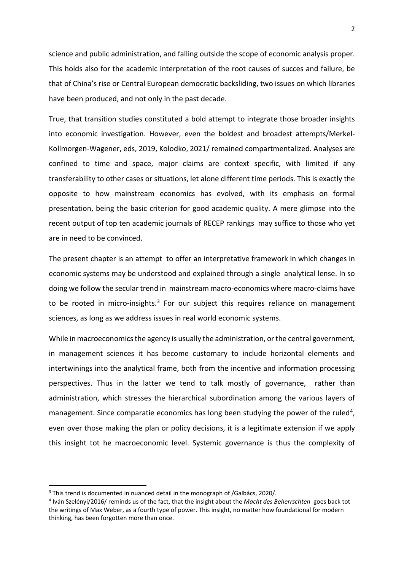science and public administration, and falling outside the scope of economic analysis proper. This holds also for the academic interpretation of the root causes of succes and failure, be that of China's rise or Central European democratic backsliding, two issues on which libraries have been produced, and not only in the past decade.

True, that transition studies constituted a bold attempt to integrate those broader insights into economic investigation. However, even the boldest and broadest attempts/Merkel-Kollmorgen-Wagener, eds, 2019, Kolodko, 2021/ remained compartmentalized. Analyses are confined to time and space, major claims are context specific, with limited if any transferability to other cases or situations, let alone different time periods. This is exactly the opposite to how mainstream economics has evolved, with its emphasis on formal presentation, being the basic criterion for good academic quality. A mere glimpse into the recent output of top ten academic journals of RECEP rankings may suffice to those who yet are in need to be convinced.

The present chapter is an attempt to offer an interpretative framework in which changes in economic systems may be understood and explained through a single analytical lense. In so doing we follow the secular trend in mainstream macro-economics where macro-claims have to be rooted in micro-insights. $3$  For our subject this requires reliance on management sciences, as long as we address issues in real world economic systems.

While in macroeconomics the agency is usually the administration, or the central government, in management sciences it has become customary to include horizontal elements and intertwinings into the analytical frame, both from the incentive and information processing perspectives. Thus in the latter we tend to talk mostly of governance, rather than administration, which stresses the hierarchical subordination among the various layers of management. Since comparatie economics has long been studying the power of the ruled<sup>4</sup>, even over those making the plan or policy decisions, it is a legitimate extension if we apply this insight tot he macroeconomic level. Systemic governance is thus the complexity of

<span id="page-1-0"></span><sup>&</sup>lt;sup>3</sup> This trend is documented in nuanced detail in the monograph of /Galbács, 2020/.

<span id="page-1-1"></span><sup>4</sup> Iván Szelényi/2016/ reminds us of the fact, that the insight about the *Macht des Beherrschten* goes back tot the writings of Max Weber, as a fourth type of power. This insight, no matter how foundational for modern thinking, has been forgotten more than once.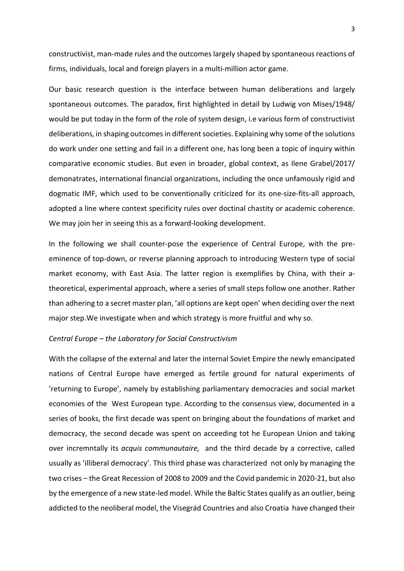constructivist, man-made rules and the outcomes largely shaped by spontaneous reactions of firms, individuals, local and foreign players in a multi-million actor game.

Our basic research question is the interface between human deliberations and largely spontaneous outcomes. The paradox, first highlighted in detail by Ludwig von Mises/1948/ would be put today in the form of the role of system design, i.e various form of constructivist deliberations, in shaping outcomes in different societies. Explaining why some of the solutions do work under one setting and fail in a different one, has long been a topic of inquiry within comparative economic studies. But even in broader, global context, as Ilene Grabel/2017/ demonatrates, international financial organizations, including the once unfamously rigid and dogmatic IMF, which used to be conventionally criticized for its one-size-fits-all approach, adopted a line where context specificity rules over doctinal chastity or academic coherence. We may join her in seeing this as a forward-looking development.

In the following we shall counter-pose the experience of Central Europe, with the preeminence of top-down, or reverse planning approach to introducing Western type of social market economy, with East Asia. The latter region is exemplifies by China, with their atheoretical, experimental approach, where a series of small steps follow one another. Rather than adhering to a secret master plan, 'all options are kept open' when deciding over the next major step.We investigate when and which strategy is more fruitful and why so.

#### *Central Europe – the Laboratory for Social Constructivism*

With the collapse of the external and later the internal Soviet Empire the newly emancipated nations of Central Europe have emerged as fertile ground for natural experiments of 'returning to Europe', namely by establishing parliamentary democracies and social market economies of the West European type. According to the consensus view, documented in a series of books, the first decade was spent on bringing about the foundations of market and democracy, the second decade was spent on acceeding tot he European Union and taking over incremntally its *acquis communautaire,* and the third decade by a corrective, called usually as 'illiberal democracy'. This third phase was characterized not only by managing the two crises – the Great Recession of 2008 to 2009 and the Covid pandemic in 2020-21, but also by the emergence of a new state-led model. While the Baltic States qualify as an outlier, being addicted to the neoliberal model, the Visegrád Countries and also Croatia have changed their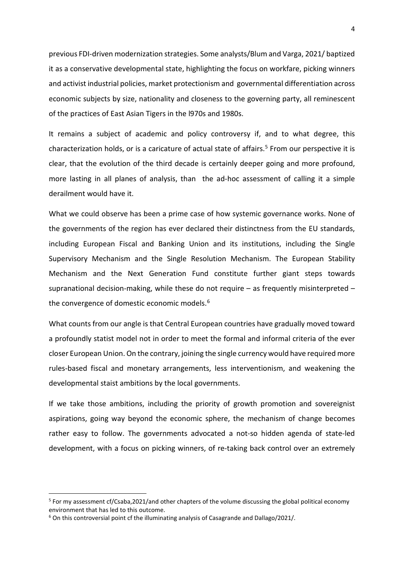previous FDI-driven modernization strategies. Some analysts/Blum and Varga, 2021/ baptized it as a conservative developmental state, highlighting the focus on workfare, picking winners and activist industrial policies, market protectionism and governmental differentiation across economic subjects by size, nationality and closeness to the governing party, all reminescent of the practices of East Asian Tigers in the l970s and 1980s.

It remains a subject of academic and policy controversy if, and to what degree, this characterization holds, or is a caricature of actual state of affairs.<sup>[5](#page-3-0)</sup> From our perspective it is clear, that the evolution of the third decade is certainly deeper going and more profound, more lasting in all planes of analysis, than the ad-hoc assessment of calling it a simple derailment would have it.

What we could observe has been a prime case of how systemic governance works. None of the governments of the region has ever declared their distinctness from the EU standards, including European Fiscal and Banking Union and its institutions, including the Single Supervisory Mechanism and the Single Resolution Mechanism. The European Stability Mechanism and the Next Generation Fund constitute further giant steps towards supranational decision-making, while these do not require – as frequently misinterpreted – the convergence of domestic economic models.<sup>[6](#page-3-1)</sup>

What counts from our angle is that Central European countries have gradually moved toward a profoundly statist model not in order to meet the formal and informal criteria of the ever closer European Union. On the contrary, joining the single currency would have required more rules-based fiscal and monetary arrangements, less interventionism, and weakening the developmental staist ambitions by the local governments.

If we take those ambitions, including the priority of growth promotion and sovereignist aspirations, going way beyond the economic sphere, the mechanism of change becomes rather easy to follow. The governments advocated a not-so hidden agenda of state-led development, with a focus on picking winners, of re-taking back control over an extremely

<span id="page-3-0"></span><sup>&</sup>lt;sup>5</sup> For my assessment cf/Csaba,2021/and other chapters of the volume discussing the global political economy environment that has led to this outcome.

<span id="page-3-1"></span> $6$  On this controversial point cf the illuminating analysis of Casagrande and Dallago/2021/.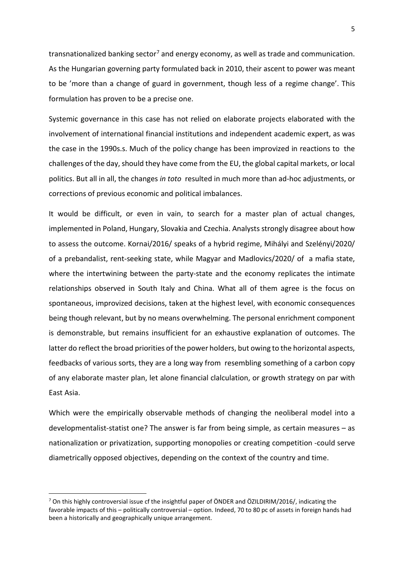transnationalized banking sector<sup>[7](#page-4-0)</sup> and energy economy, as well as trade and communication. As the Hungarian governing party formulated back in 2010, their ascent to power was meant to be 'more than a change of guard in government, though less of a regime change'. This formulation has proven to be a precise one.

Systemic governance in this case has not relied on elaborate projects elaborated with the involvement of international financial institutions and independent academic expert, as was the case in the 1990s.s. Much of the policy change has been improvized in reactions to the challenges of the day, should they have come from the EU, the global capital markets, or local politics. But all in all, the changes *in toto* resulted in much more than ad-hoc adjustments, or corrections of previous economic and political imbalances.

It would be difficult, or even in vain, to search for a master plan of actual changes, implemented in Poland, Hungary, Slovakia and Czechia. Analysts strongly disagree about how to assess the outcome. Kornai/2016/ speaks of a hybrid regime, Mihályi and Szelényi/2020/ of a prebandalist, rent-seeking state, while Magyar and Madlovics/2020/ of a mafia state, where the intertwining between the party-state and the economy replicates the intimate relationships observed in South Italy and China. What all of them agree is the focus on spontaneous, improvized decisions, taken at the highest level, with economic consequences being though relevant, but by no means overwhelming. The personal enrichment component is demonstrable, but remains insufficient for an exhaustive explanation of outcomes. The latter do reflect the broad priorities of the power holders, but owing to the horizontal aspects, feedbacks of various sorts, they are a long way from resembling something of a carbon copy of any elaborate master plan, let alone financial clalculation, or growth strategy on par with East Asia.

Which were the empirically observable methods of changing the neoliberal model into a developmentalist-statist one? The answer is far from being simple, as certain measures – as nationalization or privatization, supporting monopolies or creating competition -could serve diametrically opposed objectives, depending on the context of the country and time.

<span id="page-4-0"></span> $7$  On this highly controversial issue cf the insightful paper of ÖNDER and ÖZILDIRIM/2016/, indicating the favorable impacts of this – politically controversial – option. Indeed, 70 to 80 pc of assets in foreign hands had been a historically and geographically unique arrangement.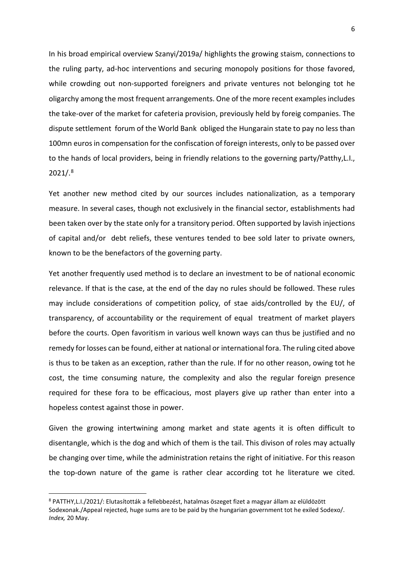In his broad empirical overview Szanyi/2019a/ highlights the growing staism, connections to the ruling party, ad-hoc interventions and securing monopoly positions for those favored, while crowding out non-supported foreigners and private ventures not belonging tot he oligarchy among the most frequent arrangements. One of the more recent examples includes the take-over of the market for cafeteria provision, previously held by foreig companies. The dispute settlement forum of the World Bank obliged the Hungarain state to pay no less than 100mn euros in compensation for the confiscation of foreign interests, only to be passed over to the hands of local providers, being in friendly relations to the governing party/Patthy,L.I., 2021/.[8](#page-5-0)

Yet another new method cited by our sources includes nationalization, as a temporary measure. In several cases, though not exclusively in the financial sector, establishments had been taken over by the state only for a transitory period. Often supported by lavish injections of capital and/or debt reliefs, these ventures tended to bee sold later to private owners, known to be the benefactors of the governing party.

Yet another frequently used method is to declare an investment to be of national economic relevance. If that is the case, at the end of the day no rules should be followed. These rules may include considerations of competition policy, of stae aids/controlled by the EU/, of transparency, of accountability or the requirement of equal treatment of market players before the courts. Open favoritism in various well known ways can thus be justified and no remedy for losses can be found, either at national or international fora. The ruling cited above is thus to be taken as an exception, rather than the rule. If for no other reason, owing tot he cost, the time consuming nature, the complexity and also the regular foreign presence required for these fora to be efficacious, most players give up rather than enter into a hopeless contest against those in power.

Given the growing intertwining among market and state agents it is often difficult to disentangle, which is the dog and which of them is the tail. This divison of roles may actually be changing over time, while the administration retains the right of initiative. For this reason the top-down nature of the game is rather clear according tot he literature we cited.

<span id="page-5-0"></span><sup>8</sup> PATTHY,L.I./2021/: Elutasították a fellebbezést, hatalmas öszeget fizet a magyar állam az elüldözött Sodexonak./Appeal rejected, huge sums are to be paid by the hungarian government tot he exiled Sodexo/. *Index,* 20 May.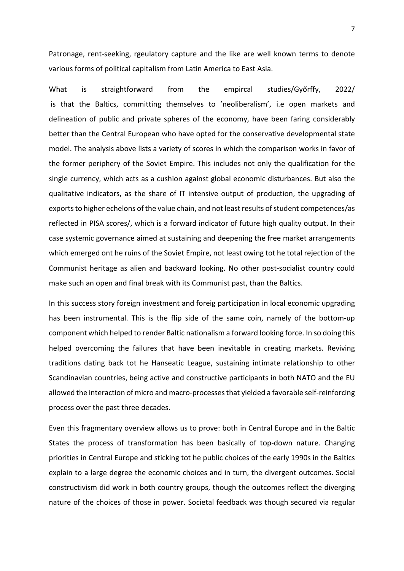Patronage, rent-seeking, rgeulatory capture and the like are well known terms to denote various forms of political capitalism from Latin America to East Asia.

What is straightforward from the empircal studies/Győrffy, 2022/ is that the Baltics, committing themselves to 'neoliberalism', i.e open markets and delineation of public and private spheres of the economy, have been faring considerably better than the Central European who have opted for the conservative developmental state model. The analysis above lists a variety of scores in which the comparison works in favor of the former periphery of the Soviet Empire. This includes not only the qualification for the single currency, which acts as a cushion against global economic disturbances. But also the qualitative indicators, as the share of IT intensive output of production, the upgrading of exports to higher echelons of the value chain, and not least results of student competences/as reflected in PISA scores/, which is a forward indicator of future high quality output. In their case systemic governance aimed at sustaining and deepening the free market arrangements which emerged ont he ruins of the Soviet Empire, not least owing tot he total rejection of the Communist heritage as alien and backward looking. No other post-socialist country could make such an open and final break with its Communist past, than the Baltics.

In this success story foreign investment and foreig participation in local economic upgrading has been instrumental. This is the flip side of the same coin, namely of the bottom-up component which helped to render Baltic nationalism a forward looking force. In so doing this helped overcoming the failures that have been inevitable in creating markets. Reviving traditions dating back tot he Hanseatic League, sustaining intimate relationship to other Scandinavian countries, being active and constructive participants in both NATO and the EU allowed the interaction of micro and macro-processes that yielded a favorable self-reinforcing process over the past three decades.

Even this fragmentary overview allows us to prove: both in Central Europe and in the Baltic States the process of transformation has been basically of top-down nature. Changing priorities in Central Europe and sticking tot he public choices of the early 1990s in the Baltics explain to a large degree the economic choices and in turn, the divergent outcomes. Social constructivism did work in both country groups, though the outcomes reflect the diverging nature of the choices of those in power. Societal feedback was though secured via regular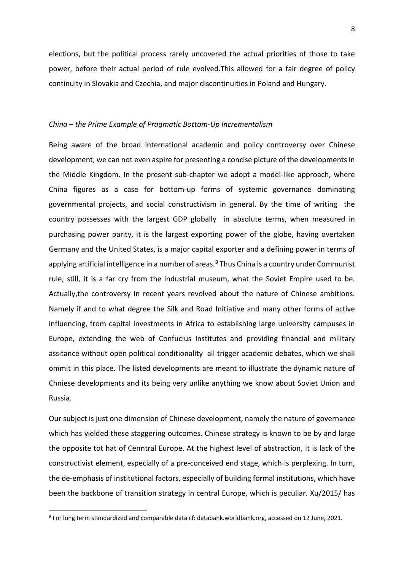elections, but the political process rarely uncovered the actual priorities of those to take power, before their actual period of rule evolved.This allowed for a fair degree of policy continuity in Slovakia and Czechia, and major discontinuities in Poland and Hungary.

#### *China – the Prime Example of Pragmatic Bottom-Up Incrementalism*

Being aware of the broad international academic and policy controversy over Chinese development, we can not even aspire for presenting a concise picture of the developments in the Middle Kingdom. In the present sub-chapter we adopt a model-like approach, where China figures as a case for bottom-up forms of systemic governance dominating governmental projects, and social constructivism in general. By the time of writing the country possesses with the largest GDP globally in absolute terms, when measured in purchasing power parity, it is the largest exporting power of the globe, having overtaken Germany and the United States, is a major capital exporter and a defining power in terms of applying artificial intelligence in a number of areas.<sup>[9](#page-7-0)</sup> Thus China is a country under Communist rule, still, it is a far cry from the industrial museum, what the Soviet Empire used to be. Actually,the controversy in recent years revolved about the nature of Chinese ambitions. Namely if and to what degree the Silk and Road Initiative and many other forms of active influencing, from capital investments in Africa to establishing large university campuses in Europe, extending the web of Confucius Institutes and providing financial and military assitance without open political conditionality all trigger academic debates, which we shall ommit in this place. The listed developments are meant to illustrate the dynamic nature of Chniese developments and its being very unlike anything we know about Soviet Union and Russia.

Our subject is just one dimension of Chinese development, namely the nature of governance which has yielded these staggering outcomes. Chinese strategy is known to be by and large the opposite tot hat of Cenntral Europe. At the highest level of abstraction, it is lack of the constructivist element, especially of a pre-conceived end stage, which is perplexing. In turn, the de-emphasis of institutional factors, especially of building formal institutions, which have been the backbone of transition strategy in central Europe, which is peculiar. Xu/2015/ has

<span id="page-7-0"></span><sup>9</sup> For long term standardized and comparable data cf: databank.worldbank.org, accessed on 12 June, 2021.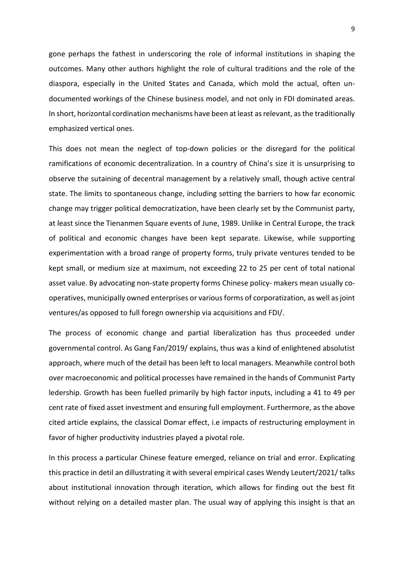gone perhaps the fathest in underscoring the role of informal institutions in shaping the outcomes. Many other authors highlight the role of cultural traditions and the role of the diaspora, especially in the United States and Canada, which mold the actual, often undocumented workings of the Chinese business model, and not only in FDI dominated areas. In short, horizontal cordination mechanisms have been at least as relevant, as the traditionally emphasized vertical ones.

This does not mean the neglect of top-down policies or the disregard for the political ramifications of economic decentralization. In a country of China's size it is unsurprising to observe the sutaining of decentral management by a relatively small, though active central state. The limits to spontaneous change, including setting the barriers to how far economic change may trigger political democratization, have been clearly set by the Communist party, at least since the Tienanmen Square events of June, 1989. Unlike in Central Europe, the track of political and economic changes have been kept separate. Likewise, while supporting experimentation with a broad range of property forms, truly private ventures tended to be kept small, or medium size at maximum, not exceeding 22 to 25 per cent of total national asset value. By advocating non-state property forms Chinese policy- makers mean usually cooperatives, municipally owned enterprises or various forms of corporatization, as well as joint ventures/as opposed to full foregn ownership via acquisitions and FDI/.

The process of economic change and partial liberalization has thus proceeded under governmental control. As Gang Fan/2019/ explains, thus was a kind of enlightened absolutist approach, where much of the detail has been left to local managers. Meanwhile control both over macroeconomic and political processes have remained in the hands of Communist Party ledership. Growth has been fuelled primarily by high factor inputs, including a 41 to 49 per cent rate of fixed asset investment and ensuring full employment. Furthermore, as the above cited article explains, the classical Domar effect, i.e impacts of restructuring employment in favor of higher productivity industries played a pivotal role.

In this process a particular Chinese feature emerged, reliance on trial and error. Explicating this practice in detil an dillustrating it with several empirical cases Wendy Leutert/2021/ talks about institutional innovation through iteration, which allows for finding out the best fit without relying on a detailed master plan. The usual way of applying this insight is that an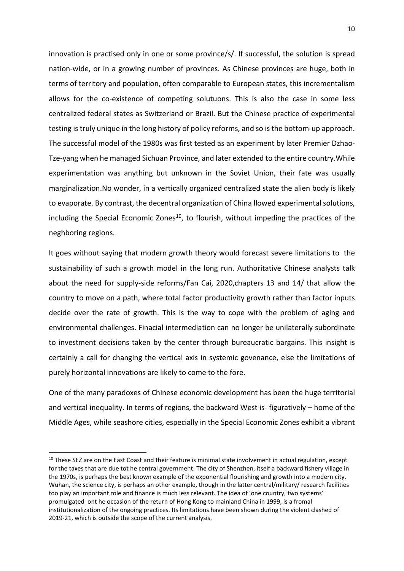innovation is practised only in one or some province/s/. If successful, the solution is spread nation-wide, or in a growing number of provinces. As Chinese provinces are huge, both in terms of territory and population, often comparable to European states, this incrementalism allows for the co-existence of competing solutuons. This is also the case in some less centralized federal states as Switzerland or Brazil. But the Chinese practice of experimental testing is truly unique in the long history of policy reforms, and so is the bottom-up approach. The successful model of the 1980s was first tested as an experiment by later Premier Dzhao-Tze-yang when he managed Sichuan Province, and later extended to the entire country.While experimentation was anything but unknown in the Soviet Union, their fate was usually marginalization.No wonder, in a vertically organized centralized state the alien body is likely to evaporate. By contrast, the decentral organization of China llowed experimental solutions, including the Special Economic Zones<sup>10</sup>, to flourish, without impeding the practices of the neghboring regions.

It goes without saying that modern growth theory would forecast severe limitations to the sustainability of such a growth model in the long run. Authoritative Chinese analysts talk about the need for supply-side reforms/Fan Cai, 2020,chapters 13 and 14/ that allow the country to move on a path, where total factor productivity growth rather than factor inputs decide over the rate of growth. This is the way to cope with the problem of aging and environmental challenges. Finacial intermediation can no longer be unilaterally subordinate to investment decisions taken by the center through bureaucratic bargains. This insight is certainly a call for changing the vertical axis in systemic govenance, else the limitations of purely horizontal innovations are likely to come to the fore.

One of the many paradoxes of Chinese economic development has been the huge territorial and vertical inequality. In terms of regions, the backward West is- figuratively – home of the Middle Ages, while seashore cities, especially in the Special Economic Zones exhibit a vibrant

<span id="page-9-0"></span><sup>&</sup>lt;sup>10</sup> These SEZ are on the East Coast and their feature is minimal state involvement in actual regulation, except for the taxes that are due tot he central government. The city of Shenzhen, itself a backward fishery village in the 1970s, is perhaps the best known example of the exponential flourishing and growth into a modern city. Wuhan, the science city, is perhaps an other example, though in the latter central/military/ research facilities too play an important role and finance is much less relevant. The idea of 'one country, two systems' promulgated ont he occasion of the return of Hong Kong to mainland China in 1999, is a fromal institutionalization of the ongoing practices. Its limitations have been shown during the violent clashed of 2019-21, which is outside the scope of the current analysis.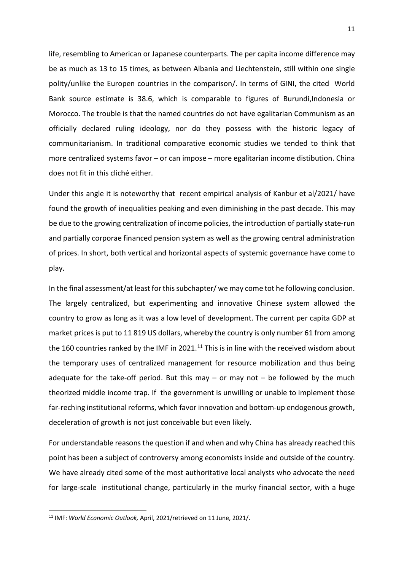life, resembling to American or Japanese counterparts. The per capita income difference may be as much as 13 to 15 times, as between Albania and Liechtenstein, still within one single polity/unlike the Europen countries in the comparison/. In terms of GINI, the cited World Bank source estimate is 38.6, which is comparable to figures of Burundi,Indonesia or Morocco. The trouble is that the named countries do not have egalitarian Communism as an officially declared ruling ideology, nor do they possess with the historic legacy of communitarianism. In traditional comparative economic studies we tended to think that more centralized systems favor – or can impose – more egalitarian income distibution. China does not fit in this cliché either.

Under this angle it is noteworthy that recent empirical analysis of Kanbur et al/2021/ have found the growth of inequalities peaking and even diminishing in the past decade. This may be due to the growing centralization of income policies, the introduction of partially state-run and partially corporae financed pension system as well as the growing central administration of prices. In short, both vertical and horizontal aspects of systemic governance have come to play.

In the final assessment/at least for this subchapter/ we may come tot he following conclusion. The largely centralized, but experimenting and innovative Chinese system allowed the country to grow as long as it was a low level of development. The current per capita GDP at market prices is put to 11 819 US dollars, whereby the country is only number 61 from among the 160 countries ranked by the IMF in 2021.<sup>[11](#page-10-0)</sup> This is in line with the received wisdom about the temporary uses of centralized management for resource mobilization and thus being adequate for the take-off period. But this may – or may not  $-$  be followed by the much theorized middle income trap. If the government is unwilling or unable to implement those far-reching institutional reforms, which favor innovation and bottom-up endogenous growth, deceleration of growth is not just conceivable but even likely.

For understandable reasons the question if and when and why China has already reached this point has been a subject of controversy among economists inside and outside of the country. We have already cited some of the most authoritative local analysts who advocate the need for large-scale institutional change, particularly in the murky financial sector, with a huge

<span id="page-10-0"></span><sup>11</sup> IMF: *World Economic Outlook,* April, 2021/retrieved on 11 June, 2021/.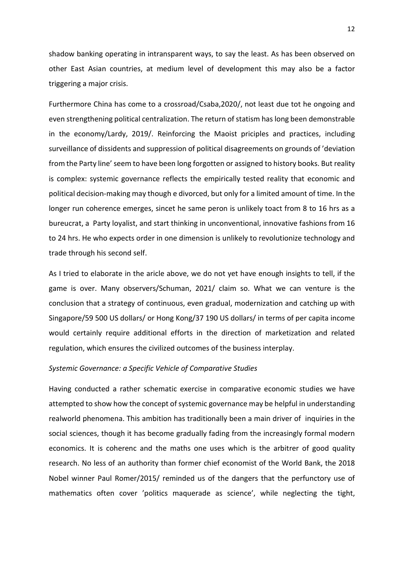shadow banking operating in intransparent ways, to say the least. As has been observed on other East Asian countries, at medium level of development this may also be a factor triggering a major crisis.

Furthermore China has come to a crossroad/Csaba,2020/, not least due tot he ongoing and even strengthening political centralization. The return of statism has long been demonstrable in the economy/Lardy, 2019/. Reinforcing the Maoist priciples and practices, including surveillance of dissidents and suppression of political disagreements on grounds of 'deviation from the Party line' seem to have been long forgotten or assigned to history books. But reality is complex: systemic governance reflects the empirically tested reality that economic and political decision-making may though e divorced, but only for a limited amount of time. In the longer run coherence emerges, sincet he same peron is unlikely toact from 8 to 16 hrs as a bureucrat, a Party loyalist, and start thinking in unconventional, innovative fashions from 16 to 24 hrs. He who expects order in one dimension is unlikely to revolutionize technology and trade through his second self.

As I tried to elaborate in the aricle above, we do not yet have enough insights to tell, if the game is over. Many observers/Schuman, 2021/ claim so. What we can venture is the conclusion that a strategy of continuous, even gradual, modernization and catching up with Singapore/59 500 US dollars/ or Hong Kong/37 190 US dollars/ in terms of per capita income would certainly require additional efforts in the direction of marketization and related regulation, which ensures the civilized outcomes of the business interplay.

#### *Systemic Governance: a Specific Vehicle of Comparative Studies*

Having conducted a rather schematic exercise in comparative economic studies we have attempted to show how the concept of systemic governance may be helpful in understanding realworld phenomena. This ambition has traditionally been a main driver of inquiries in the social sciences, though it has become gradually fading from the increasingly formal modern economics. It is coherenc and the maths one uses which is the arbitrer of good quality research. No less of an authority than former chief economist of the World Bank, the 2018 Nobel winner Paul Romer/2015/ reminded us of the dangers that the perfunctory use of mathematics often cover 'politics maquerade as science', while neglecting the tight,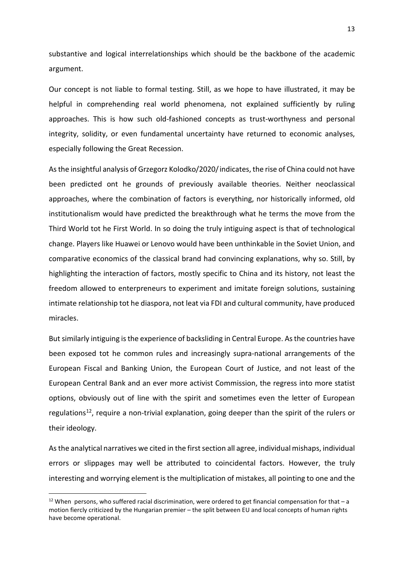substantive and logical interrelationships which should be the backbone of the academic argument.

Our concept is not liable to formal testing. Still, as we hope to have illustrated, it may be helpful in comprehending real world phenomena, not explained sufficiently by ruling approaches. This is how such old-fashioned concepts as trust-worthyness and personal integrity, solidity, or even fundamental uncertainty have returned to economic analyses, especially following the Great Recession.

As the insightful analysis of Grzegorz Kolodko/2020/indicates, the rise of China could not have been predicted ont he grounds of previously available theories. Neither neoclassical approaches, where the combination of factors is everything, nor historically informed, old institutionalism would have predicted the breakthrough what he terms the move from the Third World tot he First World. In so doing the truly intiguing aspect is that of technological change. Players like Huawei or Lenovo would have been unthinkable in the Soviet Union, and comparative economics of the classical brand had convincing explanations, why so. Still, by highlighting the interaction of factors, mostly specific to China and its history, not least the freedom allowed to enterpreneurs to experiment and imitate foreign solutions, sustaining intimate relationship tot he diaspora, not leat via FDI and cultural community, have produced miracles.

But similarly intiguing is the experience of backsliding in Central Europe. As the countries have been exposed tot he common rules and increasingly supra-national arrangements of the European Fiscal and Banking Union, the European Court of Justice, and not least of the European Central Bank and an ever more activist Commission, the regress into more statist options, obviously out of line with the spirit and sometimes even the letter of European regulations<sup>[12](#page-12-0)</sup>, require a non-trivial explanation, going deeper than the spirit of the rulers or their ideology.

As the analytical narratives we cited in the first section all agree, individual mishaps, individual errors or slippages may well be attributed to coincidental factors. However, the truly interesting and worrying element is the multiplication of mistakes, all pointing to one and the

<span id="page-12-0"></span> $12$  When persons, who suffered racial discrimination, were ordered to get financial compensation for that  $-$  a motion fiercly criticized by the Hungarian premier – the split between EU and local concepts of human rights have become operational.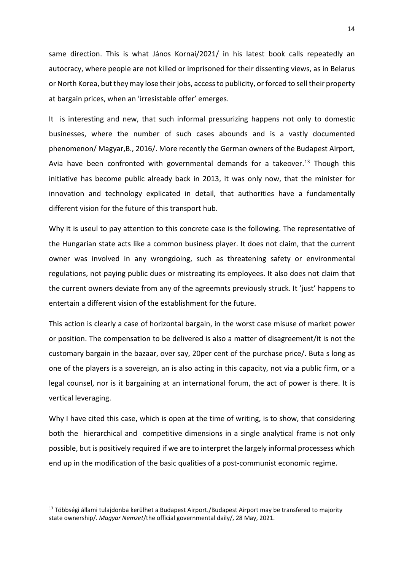same direction. This is what János Kornai/2021/ in his latest book calls repeatedly an autocracy, where people are not killed or imprisoned for their dissenting views, as in Belarus or North Korea, but they may lose their jobs, access to publicity, or forced to sell their property at bargain prices, when an 'irresistable offer' emerges.

It is interesting and new, that such informal pressurizing happens not only to domestic businesses, where the number of such cases abounds and is a vastly documented phenomenon/ Magyar,B., 2016/. More recently the German owners of the Budapest Airport, Avia have been confronted with governmental demands for a takeover.<sup>[13](#page-13-0)</sup> Though this initiative has become public already back in 2013, it was only now, that the minister for innovation and technology explicated in detail, that authorities have a fundamentally different vision for the future of this transport hub.

Why it is useul to pay attention to this concrete case is the following. The representative of the Hungarian state acts like a common business player. It does not claim, that the current owner was involved in any wrongdoing, such as threatening safety or environmental regulations, not paying public dues or mistreating its employees. It also does not claim that the current owners deviate from any of the agreemnts previously struck. It 'just' happens to entertain a different vision of the establishment for the future.

This action is clearly a case of horizontal bargain, in the worst case misuse of market power or position. The compensation to be delivered is also a matter of disagreement/it is not the customary bargain in the bazaar, over say, 20per cent of the purchase price/. Buta s long as one of the players is a sovereign, an is also acting in this capacity, not via a public firm, or a legal counsel, nor is it bargaining at an international forum, the act of power is there. It is vertical leveraging.

Why I have cited this case, which is open at the time of writing, is to show, that considering both the hierarchical and competitive dimensions in a single analytical frame is not only possible, but is positively required if we are to interpret the largely informal processess which end up in the modification of the basic qualities of a post-communist economic regime.

<span id="page-13-0"></span><sup>13</sup> Többségi állami tulajdonba kerülhet a Budapest Airport./Budapest Airport may be transfered to majority state ownership/. *Magyar Nemzet*/the official governmental daily/, 28 May, 2021.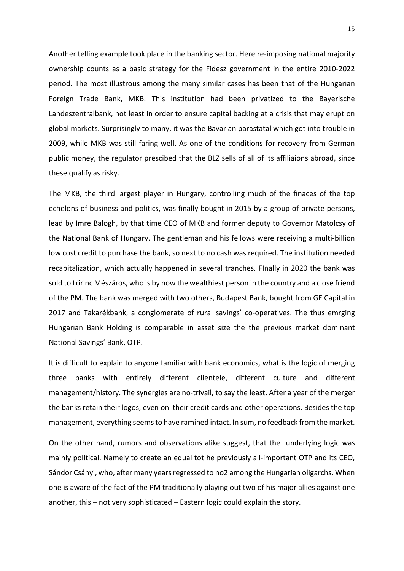Another telling example took place in the banking sector. Here re-imposing national majority ownership counts as a basic strategy for the Fidesz government in the entire 2010-2022 period. The most illustrous among the many similar cases has been that of the Hungarian Foreign Trade Bank, MKB. This institution had been privatized to the Bayerische Landeszentralbank, not least in order to ensure capital backing at a crisis that may erupt on global markets. Surprisingly to many, it was the Bavarian parastatal which got into trouble in 2009, while MKB was still faring well. As one of the conditions for recovery from German public money, the regulator prescibed that the BLZ sells of all of its affiliaions abroad, since these qualify as risky.

The MKB, the third largest player in Hungary, controlling much of the finaces of the top echelons of business and politics, was finally bought in 2015 by a group of private persons, lead by Imre Balogh, by that time CEO of MKB and former deputy to Governor Matolcsy of the National Bank of Hungary. The gentleman and his fellows were receiving a multi-billion low cost credit to purchase the bank, so next to no cash was required. The institution needed recapitalization, which actually happened in several tranches. FInally in 2020 the bank was sold to Lőrinc Mészáros, who is by now the wealthiest person in the country and a close friend of the PM. The bank was merged with two others, Budapest Bank, bought from GE Capital in 2017 and Takarékbank, a conglomerate of rural savings' co-operatives. The thus emrging Hungarian Bank Holding is comparable in asset size the the previous market dominant National Savings' Bank, OTP.

It is difficult to explain to anyone familiar with bank economics, what is the logic of merging three banks with entirely different clientele, different culture and different management/history. The synergies are no-trivail, to say the least. After a year of the merger the banks retain their logos, even on their credit cards and other operations. Besides the top management, everything seems to have ramined intact. In sum, no feedback from the market.

On the other hand, rumors and observations alike suggest, that the underlying logic was mainly political. Namely to create an equal tot he previously all-important OTP and its CEO, Sándor Csányi, who, after many years regressed to no2 among the Hungarian oligarchs. When one is aware of the fact of the PM traditionally playing out two of his major allies against one another, this – not very sophisticated – Eastern logic could explain the story.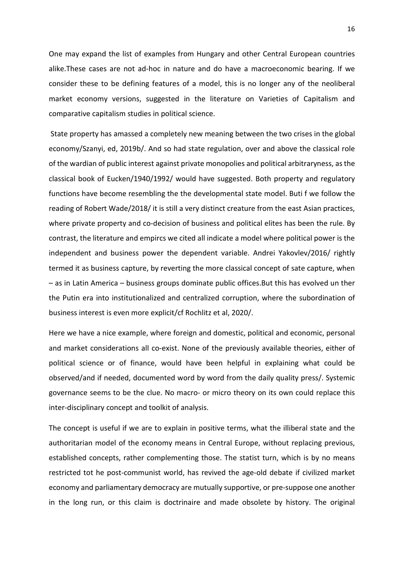One may expand the list of examples from Hungary and other Central European countries alike.These cases are not ad-hoc in nature and do have a macroeconomic bearing. If we consider these to be defining features of a model, this is no longer any of the neoliberal market economy versions, suggested in the literature on Varieties of Capitalism and comparative capitalism studies in political science.

State property has amassed a completely new meaning between the two crises in the global economy/Szanyi, ed, 2019b/. And so had state regulation, over and above the classical role of the wardian of public interest against private monopolies and political arbitraryness, as the classical book of Eucken/1940/1992/ would have suggested. Both property and regulatory functions have become resembling the the developmental state model. Buti f we follow the reading of Robert Wade/2018/ it is still a very distinct creature from the east Asian practices, where private property and co-decision of business and political elites has been the rule. By contrast, the literature and empircs we cited all indicate a model where political power is the independent and business power the dependent variable. Andrei Yakovlev/2016/ rightly termed it as business capture, by reverting the more classical concept of sate capture, when – as in Latin America – business groups dominate public offices.But this has evolved un ther the Putin era into institutionalized and centralized corruption, where the subordination of business interest is even more explicit/cf Rochlitz et al, 2020/.

Here we have a nice example, where foreign and domestic, political and economic, personal and market considerations all co-exist. None of the previously available theories, either of political science or of finance, would have been helpful in explaining what could be observed/and if needed, documented word by word from the daily quality press/. Systemic governance seems to be the clue. No macro- or micro theory on its own could replace this inter-disciplinary concept and toolkit of analysis.

The concept is useful if we are to explain in positive terms, what the illiberal state and the authoritarian model of the economy means in Central Europe, without replacing previous, established concepts, rather complementing those. The statist turn, which is by no means restricted tot he post-communist world, has revived the age-old debate if civilized market economy and parliamentary democracy are mutually supportive, or pre-suppose one another in the long run, or this claim is doctrinaire and made obsolete by history. The original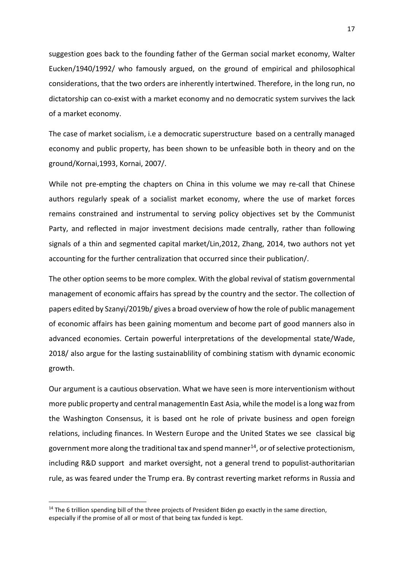suggestion goes back to the founding father of the German social market economy, Walter Eucken/1940/1992/ who famously argued, on the ground of empirical and philosophical considerations, that the two orders are inherently intertwined. Therefore, in the long run, no dictatorship can co-exist with a market economy and no democratic system survives the lack of a market economy.

The case of market socialism, i.e a democratic superstructure based on a centrally managed economy and public property, has been shown to be unfeasible both in theory and on the ground/Kornai,1993, Kornai, 2007/.

While not pre-empting the chapters on China in this volume we may re-call that Chinese authors regularly speak of a socialist market economy, where the use of market forces remains constrained and instrumental to serving policy objectives set by the Communist Party, and reflected in major investment decisions made centrally, rather than following signals of a thin and segmented capital market/Lin,2012, Zhang, 2014, two authors not yet accounting for the further centralization that occurred since their publication/.

The other option seems to be more complex. With the global revival of statism governmental management of economic affairs has spread by the country and the sector. The collection of papers edited by Szanyi/2019b/ gives a broad overview of how the role of public management of economic affairs has been gaining momentum and become part of good manners also in advanced economies. Certain powerful interpretations of the developmental state/Wade, 2018/ also argue for the lasting sustainablility of combining statism with dynamic economic growth.

Our argument is a cautious observation. What we have seen is more interventionism without more public property and central managementIn East Asia, while the model is a long waz from the Washington Consensus, it is based ont he role of private business and open foreign relations, including finances. In Western Europe and the United States we see classical big government more along the traditional tax and spend manner<sup>14</sup>, or of selective protectionism, including R&D support and market oversight, not a general trend to populist-authoritarian rule, as was feared under the Trump era. By contrast reverting market reforms in Russia and

<span id="page-16-0"></span><sup>&</sup>lt;sup>14</sup> The 6 trillion spending bill of the three projects of President Biden go exactly in the same direction, especially if the promise of all or most of that being tax funded is kept.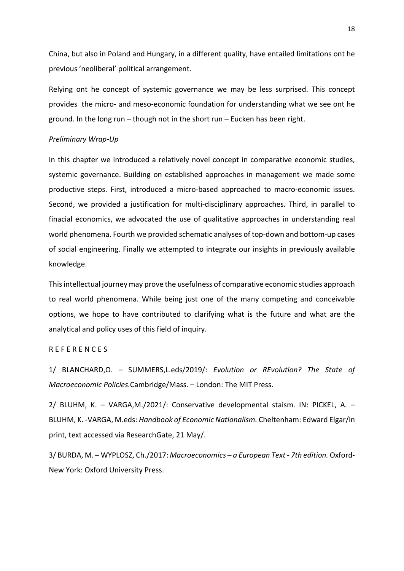China, but also in Poland and Hungary, in a different quality, have entailed limitations ont he previous 'neoliberal' political arrangement.

Relying ont he concept of systemic governance we may be less surprised. This concept provides the micro- and meso-economic foundation for understanding what we see ont he ground. In the long run – though not in the short run – Eucken has been right.

## *Preliminary Wrap-Up*

In this chapter we introduced a relatively novel concept in comparative economic studies, systemic governance. Building on established approaches in management we made some productive steps. First, introduced a micro-based approached to macro-economic issues. Second, we provided a justification for multi-disciplinary approaches. Third, in parallel to finacial economics, we advocated the use of qualitative approaches in understanding real world phenomena. Fourth we provided schematic analyses of top-down and bottom-up cases of social engineering. Finally we attempted to integrate our insights in previously available knowledge.

This intellectual journey may prove the usefulness of comparative economic studies approach to real world phenomena. While being just one of the many competing and conceivable options, we hope to have contributed to clarifying what is the future and what are the analytical and policy uses of this field of inquiry.

### R E F E R E N C E S

1/ BLANCHARD,O. – SUMMERS,L.eds/2019/: *Evolution or REvolution? The State of Macroeconomic Policies.*Cambridge/Mass. – London: The MIT Press.

2/ BLUHM, K. – VARGA,M./2021/: Conservative developmental staism. IN: PICKEL, A. – BLUHM, K. -VARGA, M.eds: *Handbook of Economic Nationalism.* Cheltenham: Edward Elgar/in print, text accessed via ResearchGate, 21 May/.

3/ BURDA, M. – WYPLOSZ, Ch./2017: *Macroeconomics – a European Text - 7th edition.* Oxford-New York: Oxford University Press.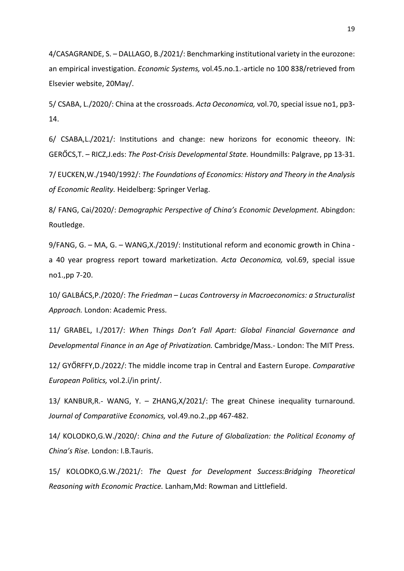4/CASAGRANDE, S. – DALLAGO, B./2021/: Benchmarking institutional variety in the eurozone: an empirical investigation. *Economic Systems,* vol.45.no.1.-article no 100 838/retrieved from Elsevier website, 20May/.

5/ CSABA, L./2020/: China at the crossroads. *Acta Oeconomica,* vol.70, special issue no1, pp3- 14.

6/ CSABA,L./2021/: Institutions and change: new horizons for economic theeory. IN: GERŐCS,T. – RICZ,J.eds: *The Post-Crisis Developmental State.* Houndmills: Palgrave, pp 13-31.

7/ EUCKEN,W./1940/1992/: *The Foundations of Economics: History and Theory in the Analysis of Economic Reality.* Heidelberg: Springer Verlag.

8/ FANG, Cai/2020/: *Demographic Perspective of China's Economic Development.* Abingdon: Routledge.

9/FANG, G. – MA, G. – WANG,X./2019/: Institutional reform and economic growth in China a 40 year progress report toward marketization. *Acta Oeconomica,* vol.69, special issue no1.,pp 7-20.

10/ GALBÁCS,P./2020/: *The Friedman – Lucas Controversy in Macroeconomics: a Structuralist Approach.* London: Academic Press.

11/ GRABEL, I./2017/: *When Things Don't Fall Apart: Global Financial Governance and Developmental Finance in an Age of Privatization.* Cambridge/Mass.- London: The MIT Press.

12/ GYŐRFFY,D./2022/: The middle income trap in Central and Eastern Europe. *Comparative European Politics,* vol.2.í/in print/.

13/ KANBUR,R.- WANG, Y. – ZHANG,X/2021/: The great Chinese inequality turnaround. *Journal of Comparatiive Economics,* vol.49.no.2.,pp 467-482.

14/ KOLODKO,G.W./2020/: *China and the Future of Globalization: the Political Economy of China's Rise.* London: I.B.Tauris.

15/ KOLODKO,G.W./2021/: *The Quest for Development Success:Bridging Theoretical Reasoning with Economic Practice.* Lanham,Md: Rowman and Littlefield.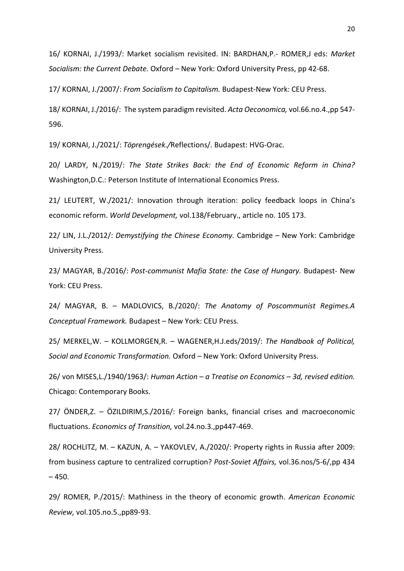16/ KORNAI, J./1993/: Market socialism revisited. IN: BARDHAN,P.- ROMER,J eds: *Market Socialism: the Current Debate.* Oxford – New York: Oxford University Press, pp 42-68.

17/ KORNAI, J./2007/: *From Socialism to Capitalism.* Budapest-New York: CEU Press.

18/ KORNAI, J./2016/: The system paradigm revisited. *Acta Oeconomica,* vol.66.no.4.,pp 547- 596.

19/ KORNAI, J./2021/: *Töprengések./*Reflections/. Budapest: HVG-Orac.

20/ LARDY, N./2019/: *The State Strikes Back: the End of Economic Reform in China?*  Washington,D.C.: Peterson Institute of International Economics Press.

21/ LEUTERT, W./2021/: Innovation through iteration: policy feedback loops in China's economic reform. *World Development,* vol.138/February., article no. 105 173.

22/ LIN, J.L./2012/: *Demystifying the Chinese Economy.* Cambridge – New York: Cambridge University Press.

23/ MAGYAR, B./2016/: *Post-communist Mafia State: the Case of Hungary.* Budapest- New York: CEU Press.

24/ MAGYAR, B. – MADLOVICS, B./2020/: *The Anatomy of Poscommunist Regimes.A Conceptual Framework.* Budapest – New York: CEU Press.

25/ MERKEL,W. – KOLLMORGEN,R. – WAGENER,H.J.eds/2019/: *The Handbook of Political, Social and Economic Transformation.* Oxford – New York: Oxford University Press.

26/ von MISES,L./1940/1963/: *Human Action – a Treatise on Economics – 3d, revised edition.* Chicago: Contemporary Books.

27/ ÖNDER,Z. – ÖZILDIRIM,S./2016/: Foreign banks, financial crises and macroeconomic fluctuations. *Economics of Transition,* vol.24.no.3.,pp447-469.

28/ ROCHLITZ, M. – KAZUN, A. – YAKOVLEV, A./2020/: Property rights in Russia after 2009: from business capture to centralized corruption? *Post-Soviet Affairs,* vol.36.nos/5-6/,pp 434  $-450.$ 

29/ ROMER, P./2015/: Mathiness in the theory of economic growth. *American Economic Review,* vol.105.no.5.,pp89-93.